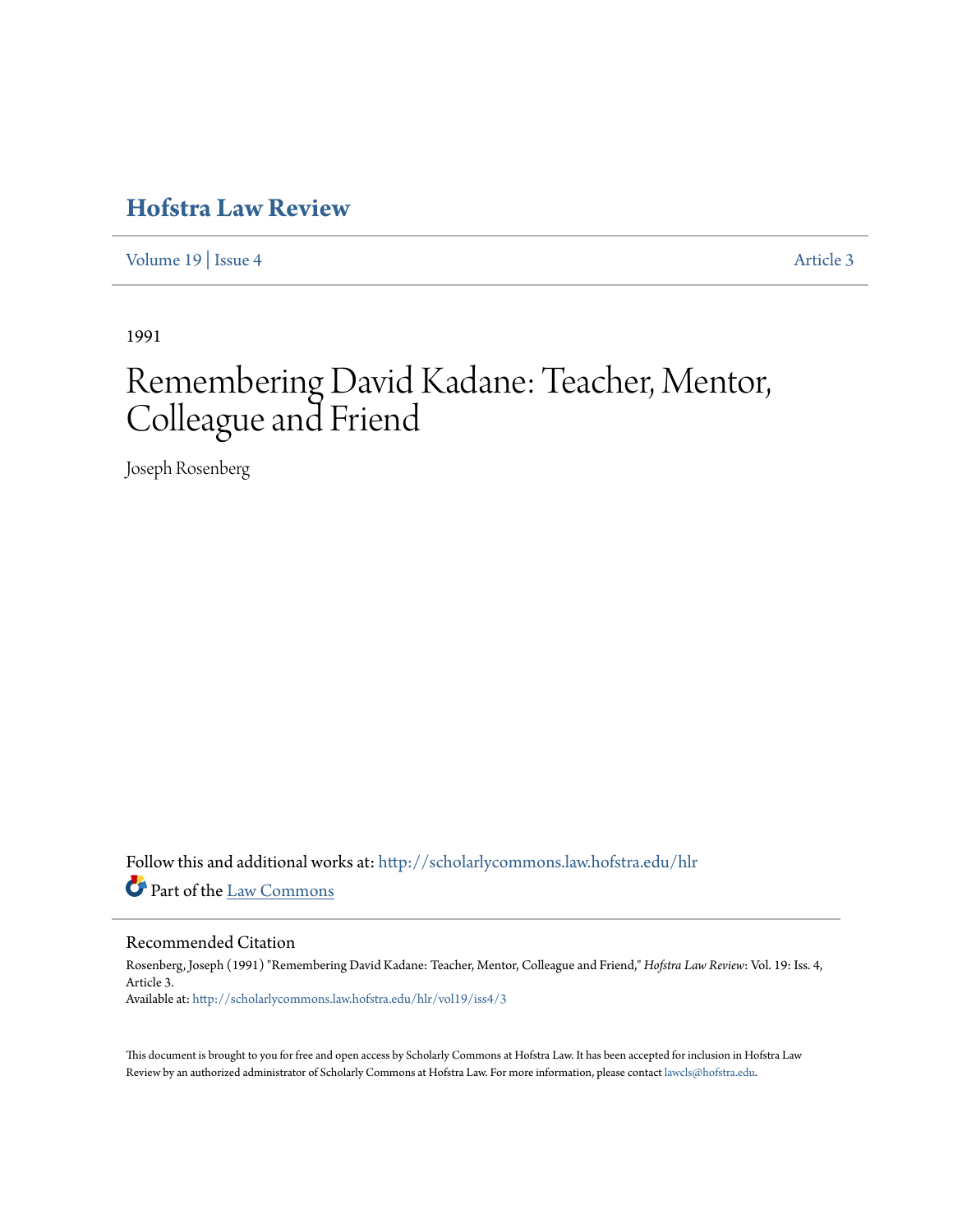# **[Hofstra Law Review](http://scholarlycommons.law.hofstra.edu/hlr?utm_source=scholarlycommons.law.hofstra.edu%2Fhlr%2Fvol19%2Fiss4%2F3&utm_medium=PDF&utm_campaign=PDFCoverPages)**

[Volume 19](http://scholarlycommons.law.hofstra.edu/hlr/vol19?utm_source=scholarlycommons.law.hofstra.edu%2Fhlr%2Fvol19%2Fiss4%2F3&utm_medium=PDF&utm_campaign=PDFCoverPages) | [Issue 4](http://scholarlycommons.law.hofstra.edu/hlr/vol19/iss4?utm_source=scholarlycommons.law.hofstra.edu%2Fhlr%2Fvol19%2Fiss4%2F3&utm_medium=PDF&utm_campaign=PDFCoverPages) [Article 3](http://scholarlycommons.law.hofstra.edu/hlr/vol19/iss4/3?utm_source=scholarlycommons.law.hofstra.edu%2Fhlr%2Fvol19%2Fiss4%2F3&utm_medium=PDF&utm_campaign=PDFCoverPages)

1991

# Remembering David Kadane: Teacher, Mentor, Colleague and Friend

Joseph Rosenberg

Follow this and additional works at: [http://scholarlycommons.law.hofstra.edu/hlr](http://scholarlycommons.law.hofstra.edu/hlr?utm_source=scholarlycommons.law.hofstra.edu%2Fhlr%2Fvol19%2Fiss4%2F3&utm_medium=PDF&utm_campaign=PDFCoverPages) Part of the [Law Commons](http://network.bepress.com/hgg/discipline/578?utm_source=scholarlycommons.law.hofstra.edu%2Fhlr%2Fvol19%2Fiss4%2F3&utm_medium=PDF&utm_campaign=PDFCoverPages)

# Recommended Citation

Rosenberg, Joseph (1991) "Remembering David Kadane: Teacher, Mentor, Colleague and Friend," *Hofstra Law Review*: Vol. 19: Iss. 4, Article 3. Available at: [http://scholarlycommons.law.hofstra.edu/hlr/vol19/iss4/3](http://scholarlycommons.law.hofstra.edu/hlr/vol19/iss4/3?utm_source=scholarlycommons.law.hofstra.edu%2Fhlr%2Fvol19%2Fiss4%2F3&utm_medium=PDF&utm_campaign=PDFCoverPages)

This document is brought to you for free and open access by Scholarly Commons at Hofstra Law. It has been accepted for inclusion in Hofstra Law Review by an authorized administrator of Scholarly Commons at Hofstra Law. For more information, please contact [lawcls@hofstra.edu](mailto:lawcls@hofstra.edu).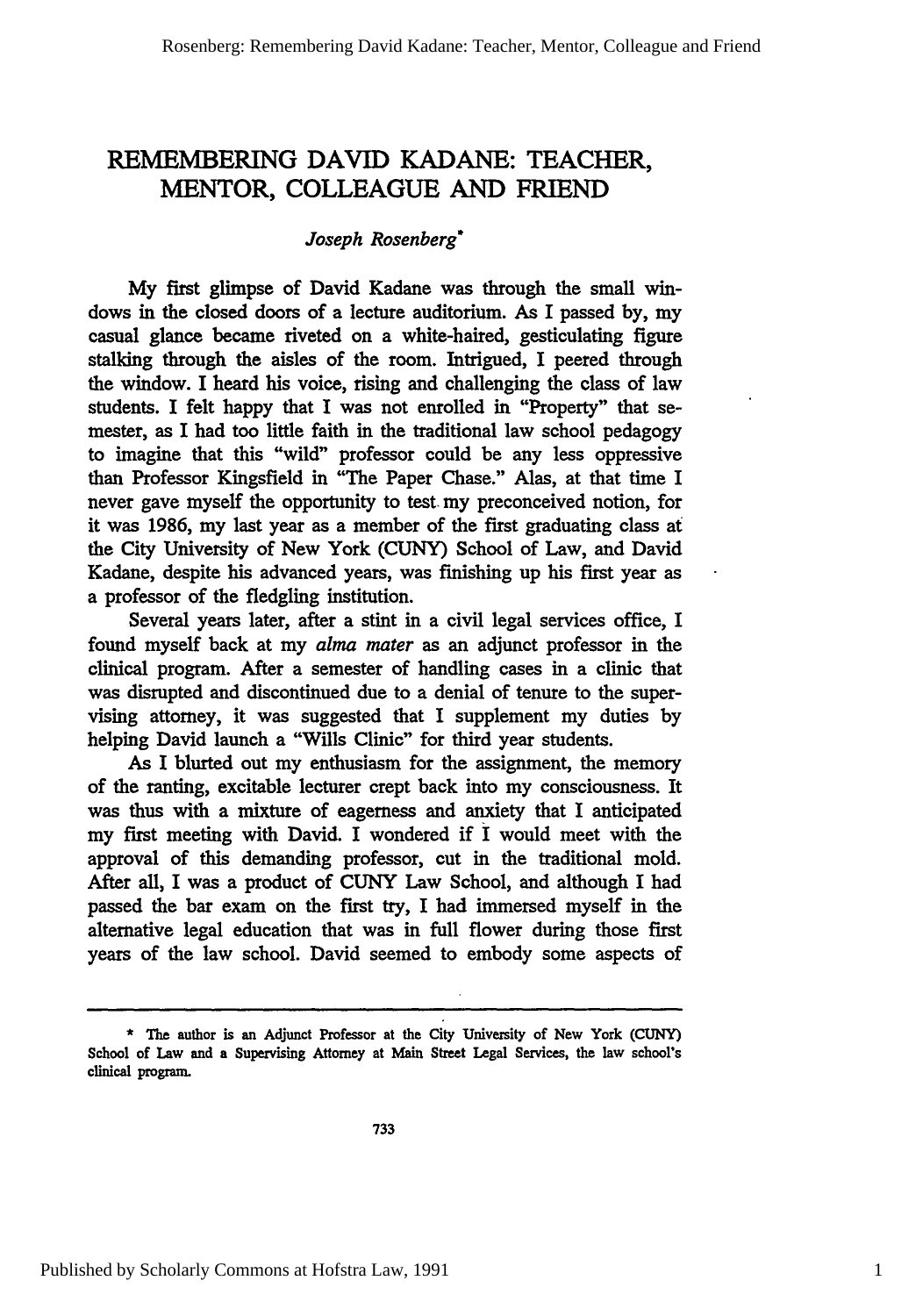# REMEMBERING DAVID **KADANE:** TEACHER, MENTOR, **COLLEAGUE AND** FRIEND

## *Joseph Rosenberg\**

My first glimpse of David Kadane was through the small windows in the closed doors of a lecture auditorium. As I passed **by,** my casual glance became riveted on a white-haired, gesticulating figure stalking through the aisles of the room. Intrigued, I peered through the window. I heard his voice, rising and challenging the class of law students. I felt happy that I was not enrolled in "Property" that semester, as I had too little faith in the traditional law school pedagogy to imagine that this "wild" professor could be any less oppressive than Professor Kingsfield in "The Paper Chase." Alas, at that time I never gave myself the opportunity to test my preconceived notion, for it was 1986, my last year as a member of the first graduating class at the City University of New York (CUNY) School of Law, and David Kadane, despite his advanced years, was finishing up his first year as a professor of the fledgling institution.

Several years later, after a stint in a civil legal services office, I found myself back at my *alma mater* as an adjunct professor in the clinical program. After a semester of handling cases in a clinic that was disrupted and discontinued due to a denial of tenure to the supervising attorney, it was suggested that I supplement my duties by helping David launch a "Wills Clinic" for third year students.

As I blurted out my enthusiasm for the assignment, the memory of the ranting, excitable lecturer crept back into my consciousness. It was thus with a mixture of eagerness and anxiety that I anticipated my first meeting with David. I wondered **if** I would meet with the approval of this demanding professor, cut in the traditional mold. After all, I was a product of **CUNY** Law School, and although I had passed the bar exam on the first try, **I** had immersed myself in the alternative legal education that was in full flower during those first years of the law school. David seemed to embody some aspects of

**<sup>\*</sup>** The author is an Adjunct Professor at the City University of New York **(CUNY)** School of Law and a Supervising Attorney at Main Street Legal Services, the law school's clinical program.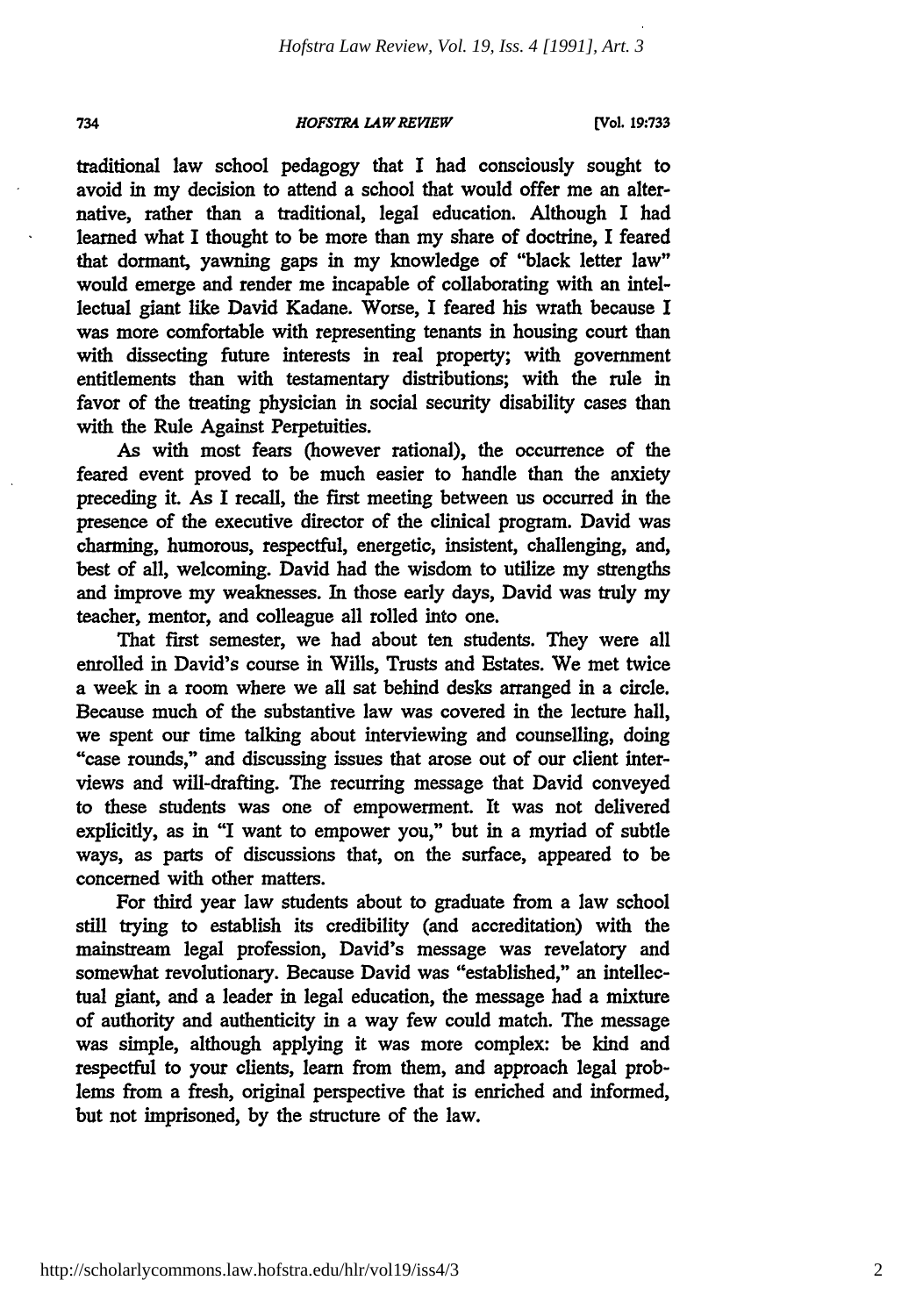#### *HOFSTRA IAWREVIEW*

traditional law school pedagogy that I had consciously sought to avoid in my decision to attend a school that would offer me an alternative, rather than a traditional, legal education. Although I had learned what I thought to be more than my share of doctrine, I feared that dormant, yawning gaps in my knowledge of "black letter law" would emerge and render me incapable of collaborating with an intellectual giant like David Kadane. Worse, I feared his wrath because I was more comfortable with representing tenants in housing court than with dissecting future interests in real property; with government entitlements than with testamentary distributions; with the rule in favor of the treating physician in social security disability cases than with the Rule Against Perpetuities.

As with most fears (however rational), the occurrence of the feared event proved to be much easier to handle than the anxiety preceding it. As I recall, the first meeting between us occurred in the presence of the executive director of the clinical program. David was charming, humorous, respectful, energetic, insistent, challenging, and, best of all, welcoming. David had the wisdom to utilize my strengths and improve my weaknesses. In those early days, David was truly my teacher, mentor, and colleague all rolled into one.

That first semester, we had about ten students. They were all enrolled in David's course in Wills, Trusts and Estates. We met twice a week in a room where we all sat behind desks arranged in a circle. Because much of the substantive law was covered in the lecture hall, we spent our time talking about interviewing and counselling, doing "case rounds," and discussing issues that arose out of our client interviews and will-drafting. The recurring message that David conveyed to these students was one of empowerment. It was not delivered explicitly, as in "I want to empower you," but in a myriad of subtle ways, as parts of discussions that, on the surface, appeared to be concerned with other matters.

For third year law students about to graduate from a law school still trying to establish its credibility (and accreditation) with the mainstream legal profession, David's message was revelatory and somewhat revolutionary. Because David was "established," an intellectual giant, and a leader in legal education, the message had a mixture of authority and authenticity in a way few could match. The message was simple, although applying it was more complex: be kind and respectful to your clients, learn from them, and approach legal problems from a fresh, original perspective that is enriched and informed, but not imprisoned, **by** the structure of the law.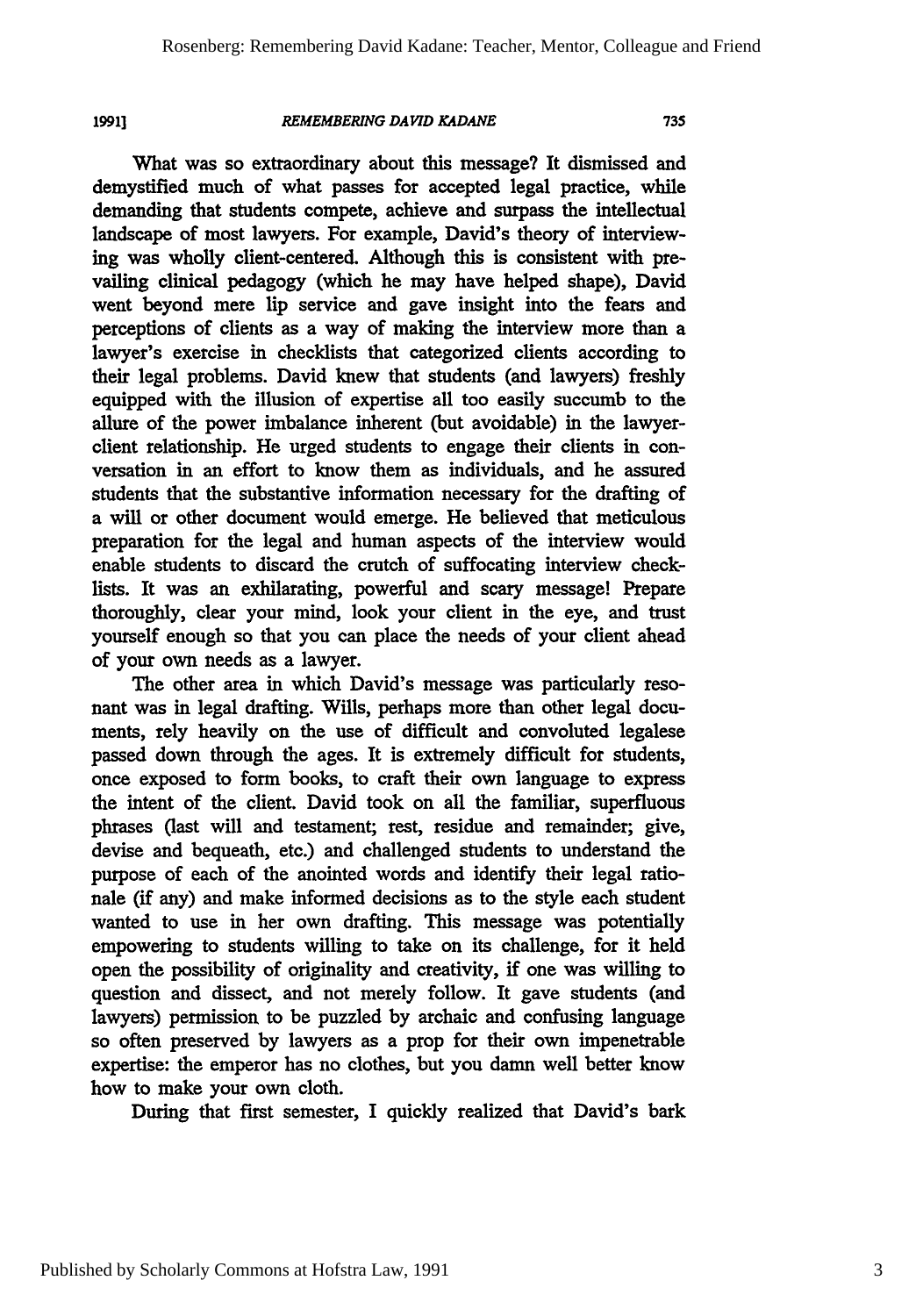*1991]*

#### *REMEMBERING DAVID KADANE*

What was so extraordinary about this message? It dismissed and demystified much of what passes for accepted legal practice, while demanding that students compete, achieve and surpass the intellectual landscape of most lawyers. For example, David's theory of interviewing was wholly client-centered. Although this is consistent with prevailing clinical pedagogy (which he may have helped shape), David went beyond mere lip service and gave insight into the fears and perceptions of clients as a way of making the interview more than a lawyer's exercise in checklists that categorized clients according to their legal problems. David knew that students (and lawyers) freshly equipped with the illusion of expertise all too easily succumb to the allure of the power imbalance inherent (but avoidable) in the lawyerclient relationship. He urged students to engage their clients in conversation in an effort to know them as individuals, and he assured students that the substantive information necessary for the drafting of a will or other document would emerge. He believed that meticulous preparation for the legal and human aspects of the interview would enable students to discard the crutch of suffocating interview checklists. It was an exhilarating, powerful and scary message! Prepare thoroughly, clear your mind, look your client in the eye, and trust yourself enough so that you can place the needs of your client ahead of your own needs as a lawyer.

The other area in which David's message was particularly resonant was in legal drafting. Wills, perhaps more than other legal documents, rely heavily on the use of difficult and convoluted legalese passed down through the ages. It is extremely difficult for students, once exposed to form books, to craft their own language to express the intent of the client. David took on all the familiar, superfluous phrases (last will and testament; rest, residue and remainder; give, devise and bequeath, etc.) and challenged students to understand the purpose of each of the anointed words and identify their legal rationale (if any) and make informed decisions as to the style each student wanted to use in her own drafting. This message was potentially empowering to students willing to take on its challenge, for it held open the possibility of originality and creativity, if one was willing to question and dissect, and not merely follow. It gave students (and lawyers) permission to be puzzled by archaic and confusing language so often preserved by lawyers as a prop for their own impenetrable expertise: the emperor has no clothes, but you damn well better know how to make your own cloth.

During that first semester, I quickly realized that David's bark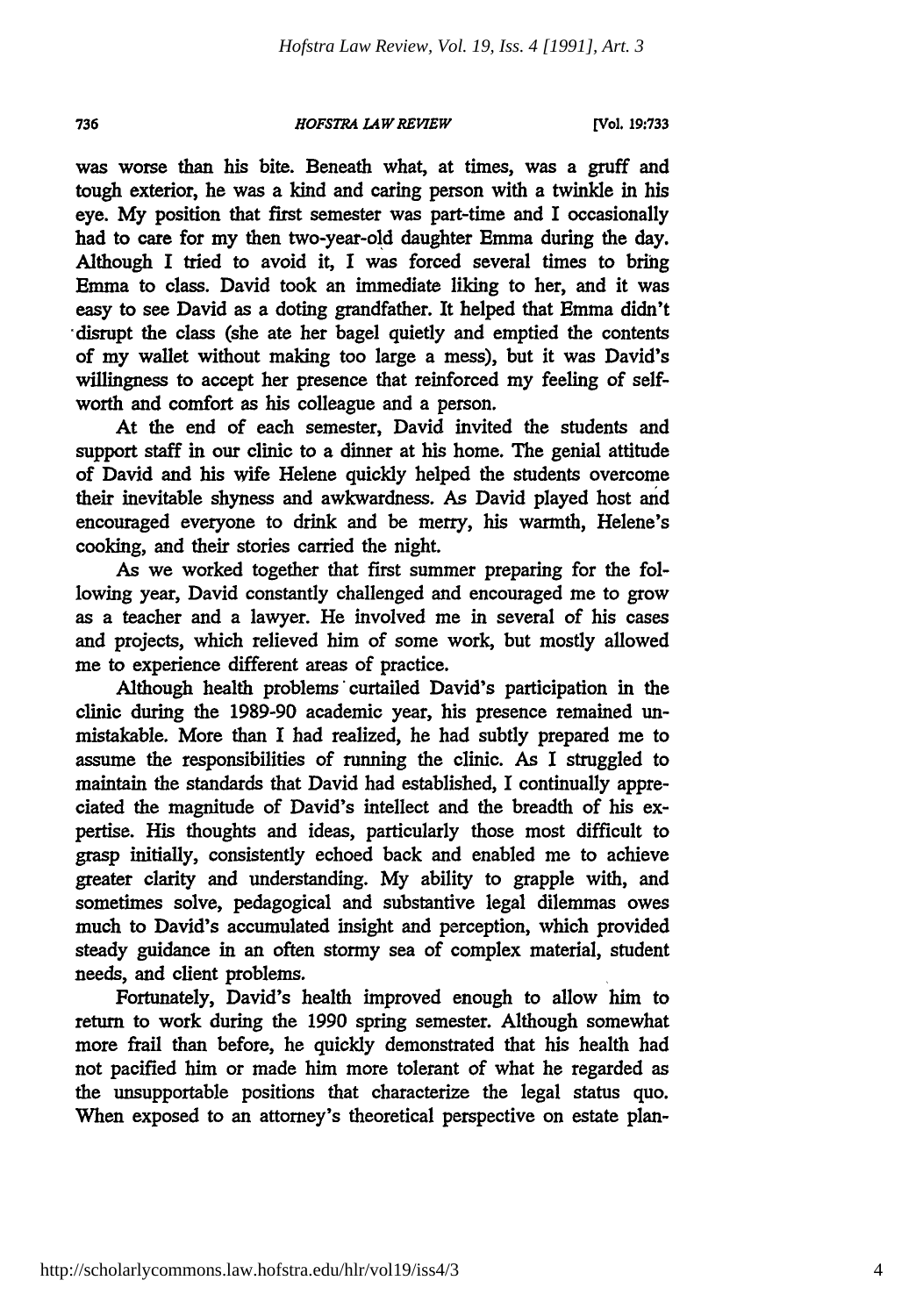#### *HOFSTRA LAW REVIEW*

**[Vol. 19:733**

was worse than his bite. Beneath what, at times, was a gruff and tough exterior, he was a kind and caring person with a twinkle in his eye. **My** position that first semester was part-time and I occasionally had to care for my then two-year-old daughter Emma during the day. Although I tried to avoid **it,** I was forced several times to bring Emma to class. David took an immediate liking to her, and it was easy to see David as a doting grandfather. It helped that Emma didn't "disrupt the class (she ate her bagel quietly and emptied the contents of my wallet without making too large a mess), but it was David's willingness to accept her presence that reinforced my feeling of selfworth and comfort as his colleague and a person.

At the end of each semester, David invited the students and support staff in our clinic to a dinner at his home. The genial attitude of David and his wife Helene quickly helped the students overcome their inevitable shyness and awkwardness. As David played host and encouraged everyone to drink and be merry, his warmth, Helene's cooking, and their stories carried the night.

As we worked together that first summer preparing for the following year, David constantly challenged and encouraged me to grow as a teacher and a lawyer. He involved me in several of his cases and projects, which relieved him of some work, but mostly allowed me to experience different areas of practice.

Although health problems curtailed David's participation in the clinic during the **1989-90** academic year, his presence remained unmistakable. More than I had realized, he had subtly prepared me to assume the responsibilities of running the clinic. As I struggled to maintain the standards that David had established, I continually appreciated the magnitude of David's intellect and the breadth of his expertise. His thoughts and ideas, particularly those most difficult to grasp initially, consistently echoed back and enabled me to achieve greater clarity and understanding. My ability to grapple with, and sometimes solve, pedagogical and substantive legal dilemmas owes much to David's accumulated insight and perception, which provided steady guidance in an often stormy sea of complex material, student needs, and client problems.

Fortunately, David's health improved enough to allow him to return to work during the 1990 spring semester. Although somewhat more frail than before, he quickly demonstrated that his health had not pacified him or made him more tolerant of what he regarded as the unsupportable positions that characterize the legal status quo. When exposed to an attorney's theoretical perspective on estate plan-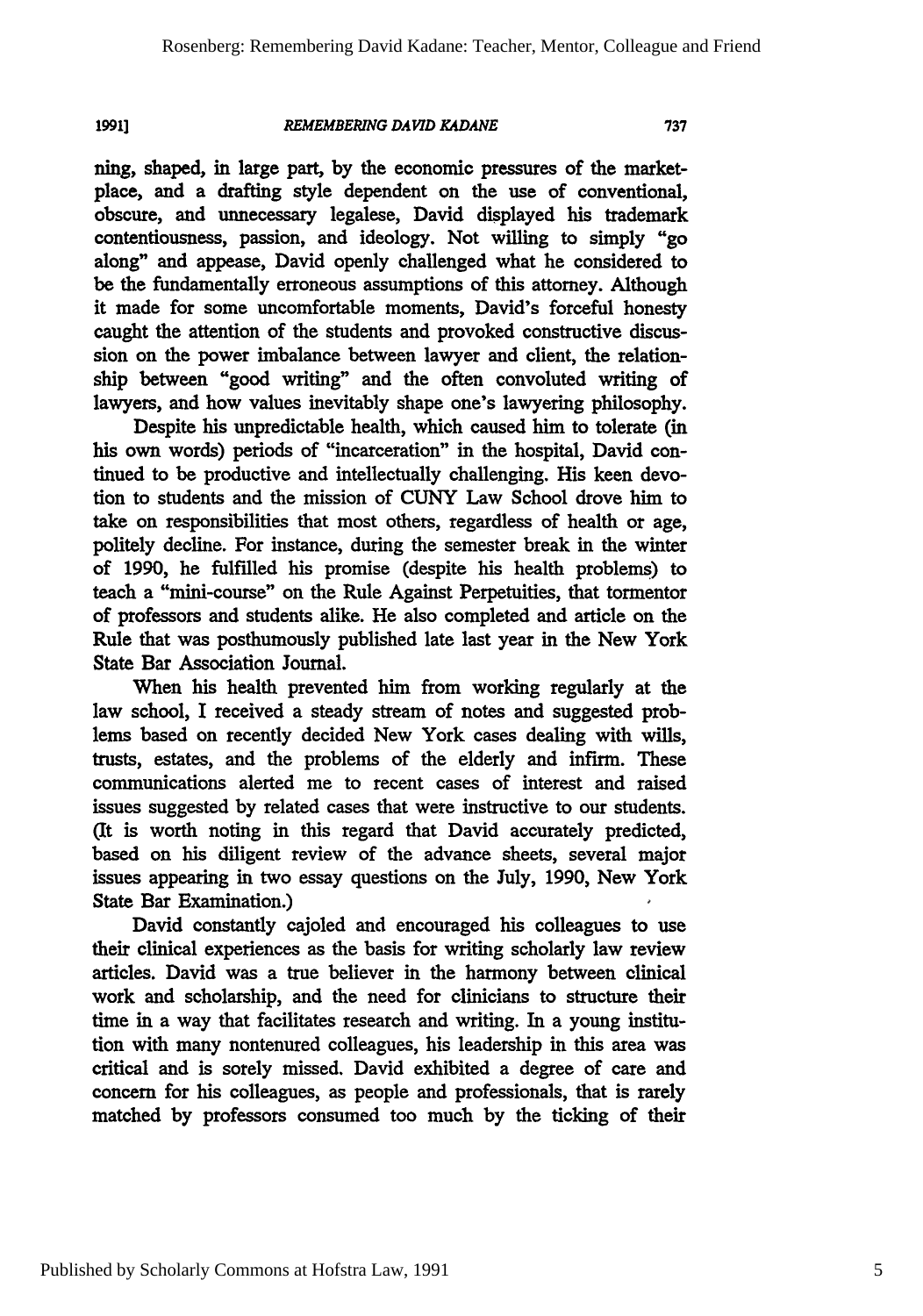**1991]**

### *REMEMBERING DAVID KADANE*

ning, shaped, in large part, **by** the economic pressures of the marketplace, and a drafting style dependent on the use of conventional, obscure, and unnecessary legalese, David displayed his trademark contentiousness, passion, and ideology. Not willing to simply "go along" and appease, David openly challenged what he considered to be the fundamentally erroneous assumptions of this attorney. Although it made for some uncomfortable moments, David's forceful honesty caught the attention of the students and provoked constructive discussion on the power imbalance between lawyer and client, the relationship between "good **writing"** and the often convoluted writing of lawyers, and how values inevitably shape one's lawyering philosophy.

Despite his unpredictable health, which caused him to tolerate (in his own words) periods of "incarceration" in the hospital, David continued to be productive and intellectually challenging. His keen devotion to students and the mission of **CUNY** Law School drove him to take on responsibilities that most others, regardless of health or age, politely decline. For instance, during the semester break in the winter of **1990,** he fulfilled his promise (despite his health problems) to teach a "mini-course" on the Rule Against Perpetuities, that tormentor of professors and students alike. He also completed and article on the Rule that was posthumously published late last year in the New York State Bar Association Journal.

When his health prevented him from working regularly at the law school, **I** received a steady stream of notes and suggested problems based on recently decided New York cases dealing with wills, trusts, estates, and the problems of the elderly and infirm. These communications alerted me to recent cases of interest and raised issues suggested **by** related cases that were instructive to our students. (It is worth noting in this regard that David accurately predicted, based on his diligent review of the advance sheets, several major issues appearing in two essay questions on the July, **1990,** New York State Bar Examination.)

David constantly cajoled and encouraged his colleagues to use their clinical experiences as the basis for writing scholarly law review articles. David was a true believer in the harmony between clinical work and scholarship, and the need for clinicians to structure their time in a way that facilitates research and writing. In a young institution with many nontenured colleagues, his leadership in this area was critical and is sorely missed. David exhibited a degree of care and concern for his colleagues, as people and professionals, that is rarely matched **by** professors consumed too much by the ticking of their